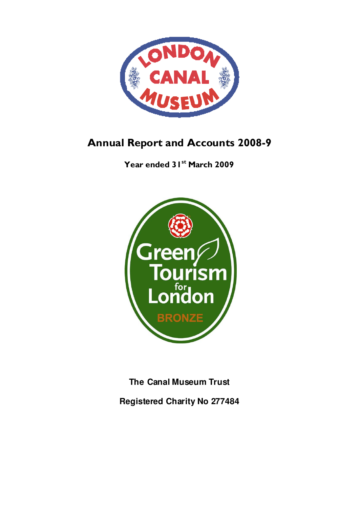

# Annual Report and Accounts 2008-9

Year ended 31<sup>st</sup> March 2009



**The Canal Museum Trust** 

**Registered Charity No 277484**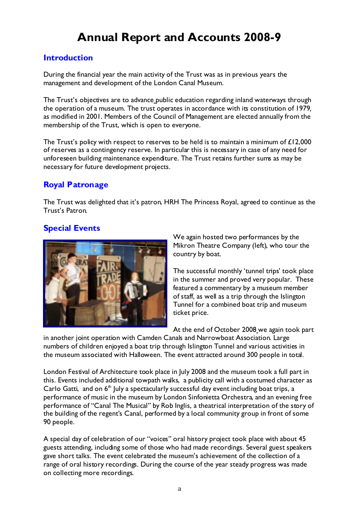# Annual Report and Accounts 2008-9

# **Introduction**

During the financial year the main activity of the Trust was as in previous years the management and development of the London Canal Museum.

The Trust's objectives are to advance public education regarding inland waterways through the operation of a museum. The trust operates in accordance with its constitution of 1979, as modified in 2001. Members of the Council of Management are elected annually from the membership of the Trust, which is open to everyone.

The Trust's policy with respect to reserves to be held is to maintain a minimum of £12,000 of reserves as a contingency reserve. In particular this is necessary in case of any need for unforeseen building maintenance expenditure. The Trust retains further sums as may be necessary for future development projects.

# Royal Patronage

The Trust was delighted that it's patron, HRH The Princess Royal, agreed to continue as the Trust's Patron.

# Special Events



We again hosted two performances by the Mikron Theatre Company (left), who tour the country by boat.

The successful monthly 'tunnel trips' took place in the summer and proved very popular. These featured a commentary by a museum member of staff, as well as a trip through the Islington Tunnel for a combined boat trip and museum ticket price.

At the end of October 2008 we again took part

in another joint operation with Camden Canals and Narrowboat Association. Large numbers of children enjoyed a boat trip through Islington Tunnel and various activities in the museum associated with Halloween. The event attracted around 300 people in total.

London Festival of Architecture took place in July 2008 and the museum took a full part in this. Events included additional towpath walks, a publicity call with a costumed character as Carlo Gatti, and on  $6<sup>th</sup>$  July a spectacularly successful day event including boat trips, a performance of music in the museum by London Sinfonietta Orchestra, and an evening free performance of "Canal The Musical" by Rob Inglis, a theatrical interpretation of the story of the building of the regent's Canal, performed by a local community group in front of some 90 people.

A special day of celebration of our "voices" oral history project took place with about 45 guests attending, including some of those who had made recordings. Several guest speakers gave short talks. The event celebrated the museum's achievement of the collection of a range of oral history recordings. During the course of the year steady progress was made on collecting more recordings.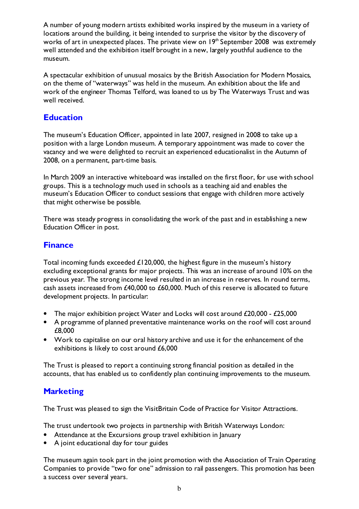A number of young modern artists exhibited works inspired by the museum in a variety of locations around the building, it being intended to surprise the visitor by the discovery of works of art in unexpected places. The private view on  $19<sup>th</sup>$  September 2008 was extremely well attended and the exhibition itself brought in a new, largely youthful audience to the museum.

A spectacular exhibition of unusual mosaics by the British Association for Modern Mosaics, on the theme of "waterways" was held in the museum. An exhibition about the life and work of the engineer Thomas Telford, was loaned to us by The Waterways Trust and was well received.

### Education

The museum's Education Officer, appointed in late 2007, resigned in 2008 to take up a position with a large London museum. A temporary appointment was made to cover the vacancy and we were delighted to recruit an experienced educationalist in the Autumn of 2008, on a permanent, part-time basis.

In March 2009 an interactive whiteboard was installed on the first floor, for use with school groups. This is a technology much used in schools as a teaching aid and enables the museum's Education Officer to conduct sessions that engage with children more actively that might otherwise be possible.

There was steady progress in consolidating the work of the past and in establishing a new Education Officer in post.

### **Finance**

Total incoming funds exceeded £120,000, the highest figure in the museum's history excluding exceptional grants for major projects. This was an increase of around 10% on the previous year. The strong income level resulted in an increase in reserves. In round terms, cash assets increased from £40,000 to £60,000. Much of this reserve is allocated to future development projects. In particular:

- The major exhibition project Water and Locks will cost around £20,000 £25,000
- A programme of planned preventative maintenance works on the roof will cost around £8,000
- Work to capitalise on our oral history archive and use it for the enhancement of the exhibitions is likely to cost around £6,000

The Trust is pleased to report a continuing strong financial position as detailed in the accounts, that has enabled us to confidently plan continuing improvements to the museum.

# **Marketing**

The Trust was pleased to sign the VisitBritain Code of Practice for Visitor Attractions.

The trust undertook two projects in partnership with British Waterways London:

- Attendance at the Excursions group travel exhibition in January
- A joint educational day for tour guides

The museum again took part in the joint promotion with the Association of Train Operating Companies to provide "two for one" admission to rail passengers. This promotion has been a success over several years.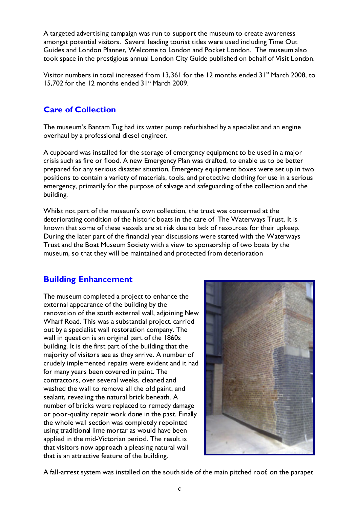A targeted advertising campaign was run to support the museum to create awareness amongst potential visitors. Several leading tourist titles were used including Time Out Guides and London Planner, Welcome to London and Pocket London. The museum also took space in the prestigious annual London City Guide published on behalf of Visit London.

Visitor numbers in total increased from 13,361 for the 12 months ended 31<sup>st</sup> March 2008, to 15,702 for the 12 months ended 31<sup>st</sup> March 2009.

# Care of Collection

The museum's Bantam Tug had its water pump refurbished by a specialist and an engine overhaul by a professional diesel engineer.

A cupboard was installed for the storage of emergency equipment to be used in a major crisis such as fire or flood. A new Emergency Plan was drafted, to enable us to be better prepared for any serious disaster situation. Emergency equipment boxes were set up in two positions to contain a variety of materials, tools, and protective clothing for use in a serious emergency, primarily for the purpose of salvage and safeguarding of the collection and the building.

Whilst not part of the museum's own collection, the trust was concerned at the deteriorating condition of the historic boats in the care of The Waterways Trust. It is known that some of these vessels are at risk due to lack of resources for their upkeep. During the later part of the financial year discussions were started with the Waterways Trust and the Boat Museum Society with a view to sponsorship of two boats by the museum, so that they will be maintained and protected from deterioration

# Building Enhancement

The museum completed a project to enhance the external appearance of the building by the renovation of the south external wall, adjoining New Wharf Road. This was a substantial project, carried out by a specialist wall restoration company. The wall in question is an original part of the 1860s building. It is the first part of the building that the majority of visitors see as they arrive. A number of crudely implemented repairs were evident and it had for many years been covered in paint. The contractors, over several weeks, cleaned and washed the wall to remove all the old paint, and sealant, revealing the natural brick beneath. A number of bricks were replaced to remedy damage or poor-quality repair work done in the past. Finally the whole wall section was completely repointed using traditional lime mortar as would have been applied in the mid-Victorian period. The result is that visitors now approach a pleasing natural wall that is an attractive feature of the building.



A fall-arrest system was installed on the south side of the main pitched roof, on the parapet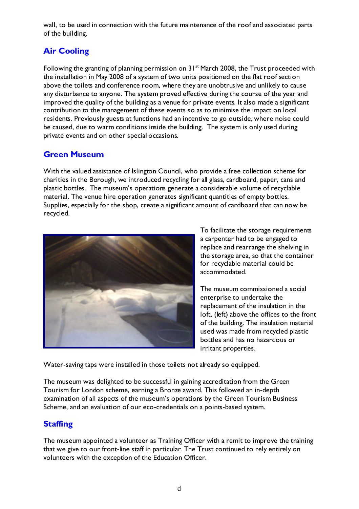wall, to be used in connection with the future maintenance of the roof and associated parts of the building.

# Air Cooling

Following the granting of planning permission on 31<sup>st</sup> March 2008, the Trust proceeded with the installation in May 2008 of a system of two units positioned on the flat roof section above the toilets and conference room, where they are unobtrusive and unlikely to cause any disturbance to anyone. The system proved effective during the course of the year and improved the quality of the building as a venue for private events. It also made a significant contribution to the management of these events so as to minimise the impact on local residents. Previously guests at functions had an incentive to go outside, where noise could be caused, due to warm conditions inside the building. The system is only used during private events and on other special occasions.

# Green Museum

With the valued assistance of Islington Council, who provide a free collection scheme for charities in the Borough, we introduced recycling for all glass, cardboard, paper, cans and plastic bottles. The museum's operations generate a considerable volume of recyclable material. The venue hire operation generates significant quantities of empty bottles. Supplies, especially for the shop, create a significant amount of cardboard that can now be recycled.



To facilitate the storage requirements a carpenter had to be engaged to replace and rearrange the shelving in the storage area, so that the container for recyclable material could be accommodated.

The museum commissioned a social enterprise to undertake the replacement of the insulation in the loft, (left) above the offices to the front of the building. The insulation material used was made from recycled plastic bottles and has no hazardous or irritant properties.

Water-saving taps were installed in those toilets not already so equipped.

The museum was delighted to be successful in gaining accreditation from the Green Tourism for London scheme, earning a Bronze award. This followed an in-depth examination of all aspects of the museum's operations by the Green Tourism Business Scheme, and an evaluation of our eco-credentials on a points-based system.

# **Staffing**

The museum appointed a volunteer as Training Officer with a remit to improve the training that we give to our front-line staff in particular. The Trust continued to rely entirely on volunteers with the exception of the Education Officer.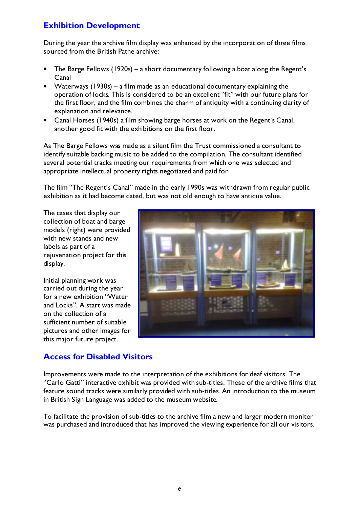# Exhibition Development

During the year the archive film display was enhanced by the incorporation of three films sourced from the British Pathe archive:

- The Barge Fellows (1920s) a short documentary following a boat along the Regent's Canal
- Waterways (1930s) a film made as an educational documentary explaining the operation of locks. This is considered to be an excellent "fit" with our future plans for the first floor, and the film combines the charm of antiquity with a continuing clarity of explanation and relevance.
- Canal Horses (1940s) a film showing barge horses at work on the Regent's Canal, another good fit with the exhibitions on the first floor.

As The Barge Fellows was made as a silent film the Trust commissioned a consultant to identify suitable backing music to be added to the compilation. The consultant identified several potential tracks meeting our requirements from which one was selected and appropriate intellectual property rights negotiated and paid for.

The film "The Regent's Canal" made in the early 1990s was withdrawn from regular public exhibition as it had become dated, but was not old enough to have antique value.

The cases that display our collection of boat and barge models (right) were provided with new stands and new labels as part of a rejuvenation project for this display.

Initial planning work was carried out during the year for a new exhibition "Water and Locks". A start was made on the collection of a sufficient number of suitable pictures and other images for this major future project.



# Access for Disabled Visitors

Improvements were made to the interpretation of the exhibitions for deaf visitors. The "Carlo Gatti" interactive exhibit was provided with sub-titles. Those of the archive films that feature sound tracks were similarly provided with sub-titles. An introduction to the museum in British Sign Language was added to the museum website.

To facilitate the provision of sub-titles to the archive film a new and larger modern monitor was purchased and introduced that has improved the viewing experience for all our visitors.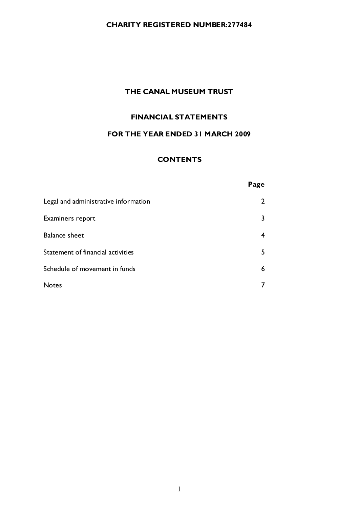### CHARITY REGISTERED NUMBER:277484

### THE CANAL MUSEUM TRUST

### FINANCIAL STATEMENTS

### FOR THE YEAR ENDED 31 MARCH 2009

### **CONTENTS**

### Page

| Legal and administrative information |    |
|--------------------------------------|----|
| Examiners report                     | 3  |
| <b>Balance sheet</b>                 | 4  |
| Statement of financial activities    | 5. |
| Schedule of movement in funds        | 6  |
| <b>Notes</b>                         |    |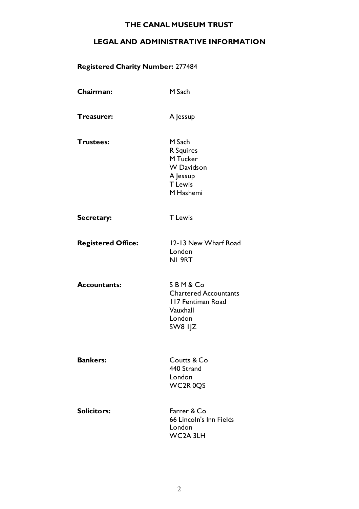### LEGAL AND ADMINISTRATIVE INFORMATION

# Registered Charity Number**:** 277484

| Chairman:                 | M Sach                                                                                          |
|---------------------------|-------------------------------------------------------------------------------------------------|
| Treasurer:                | A Jessup                                                                                        |
| <b>Trustees:</b>          | M Sach<br>R Squires<br>M Tucker<br><b>W</b> Davidson<br>A Jessup<br><b>T</b> Lewis<br>M Hashemi |
| Secretary:                | <b>T</b> Lewis                                                                                  |
| <b>Registered Office:</b> | 12-13 New Wharf Road<br>London<br>NI 9RT                                                        |
| <b>Accountants:</b>       | SBM&Co<br><b>Chartered Accountants</b><br>117 Fentiman Road<br>Vauxhall<br>London<br>SW8 IJZ    |
| <b>Bankers:</b>           | Coutts & Co<br>440 Strand<br>London<br>WC2R0QS                                                  |
| <b>Solicitors:</b>        | Farrer & Co<br>66 Lincoln's Inn Fields<br>London<br>WC2A 3LH                                    |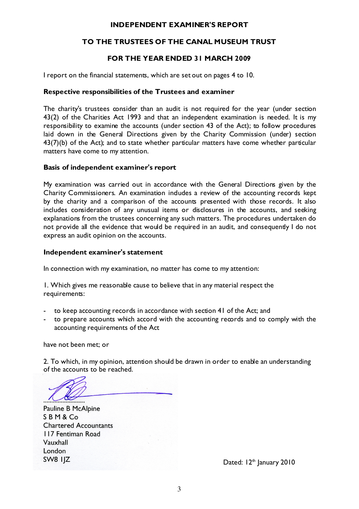#### INDEPENDENT EXAMINER'S REPORT

### TO THE TRUSTEES OF THE CANAL MUSEUM TRUST

### FOR THE YEAR ENDED 31 MARCH 2009

I report on the financial statements, which are set out on pages 4 to 10.

#### Respective responsibilities of the Trustees and examiner

The charity's trustees consider than an audit is not required for the year (under section 43(2) of the Charities Act 1993 and that an independent examination is needed. It is my responsibility to examine the accounts (under section 43 of the Act); to follow procedures laid down in the General Directions given by the Charity Commission (under) section 43(7)(b) of the Act); and to state whether particular matters have come whether particular matters have come to my attention.

#### Basis of independent examiner's report

My examination was carried out in accordance with the General Directions given by the Charity Commissioners. An examination indudes a review of the accounting records kept by the charity and a comparison of the accounts presented with those records. It also includes consideration of any unusual items or disclosures in the accounts, and seeking explanations from the trustees concerning any such matters. The procedures undertaken do not provide all the evidence that would be required in an audit, and consequently I do not express an audit opinion on the accounts.

#### Independent examiner's statement

In connection with my examination, no matter has come to my attention:

1. Which gives me reasonable cause to believe that in any material respect the requirements:

- to keep accounting records in accordance with section 41 of the Act; and
- to prepare accounts which accord with the accounting records and to comply with the accounting requirements of the Act

have not been met; or

2. To which, in my opinion, attention should be drawn in order to enable an understanding of the accounts to be reached.

.......................... Pauline B McAlpine S B M & Co<br>Chartered Accountants Chartered Accountants 117 Fentiman Road Vauxhall London<br>SW8 IIZ

Dated:  $12<sup>th</sup>$  January 2010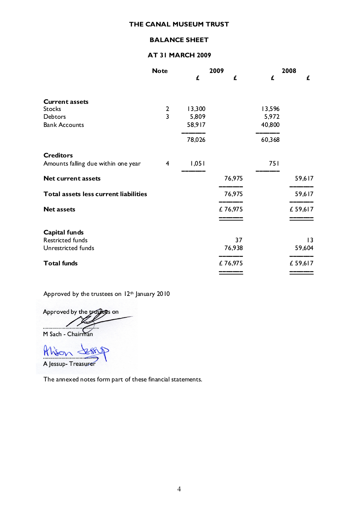#### BALANCE SHEET

#### AT 31 MARCH 2009

|                                       | <b>Note</b>    |        | 2009    |        | 2008    |
|---------------------------------------|----------------|--------|---------|--------|---------|
|                                       |                | £      | £       | £      | £       |
| <b>Current assets</b>                 |                |        |         |        |         |
| <b>Stocks</b>                         | $\mathbf{2}$   | 13,300 |         | 13,596 |         |
| <b>Debtors</b>                        | $\overline{3}$ | 5,809  |         | 5,972  |         |
| <b>Bank Accounts</b>                  |                | 58,917 |         | 40,800 |         |
|                                       |                | 78,026 |         | 60,368 |         |
| <b>Creditors</b>                      |                |        |         |        |         |
| Amounts falling due within one year   | 4              | 1,051  |         | 751    |         |
| <b>Net current assets</b>             |                |        | 76,975  |        | 59,617  |
| Total assets less current liabilities |                |        | 76,975  |        | 59,617  |
| <b>Net assets</b>                     |                |        | £76,975 |        | £59,617 |
|                                       |                |        |         |        |         |
| Capital funds                         |                |        |         |        |         |
| Restricted funds                      |                |        | 37      |        | 13      |
| Unrestricted funds                    |                |        | 76,938  |        | 59,604  |
| <b>Total funds</b>                    |                |        | £76,975 |        | £59,617 |
|                                       |                |        |         |        |         |

Approved by the trustees on  $12<sup>th</sup>$  January 2010

Approved by the trasters on M Sach - Chairman

 $M_{\rm b}$   $\sim$   $28.9$  $\sqrt{1 + 8}$ 

The annexed notes form part of these financial statements.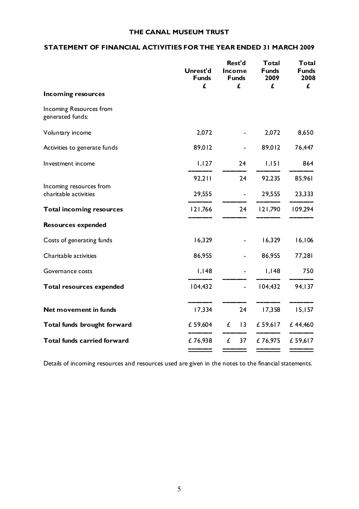#### STATEMENT OF FINANCIAL ACTIVITIES FOR THE YEAR ENDED 31 MARCH 2009

|                                                  | Unrest'd<br><b>Funds</b><br>£ | Rest'd<br>Income<br><b>Funds</b><br>£ | <b>Total</b><br><b>Funds</b><br>2009<br>£ | Total<br><b>Funds</b><br>2008<br>£ |
|--------------------------------------------------|-------------------------------|---------------------------------------|-------------------------------------------|------------------------------------|
| <b>Incoming resources</b>                        |                               |                                       |                                           |                                    |
| Incoming Resources from<br>generated funds:      |                               |                                       |                                           |                                    |
| Voluntary income                                 | 2,072                         |                                       | 2,072                                     | 8,650                              |
| Activities to generate funds                     | 89,012                        |                                       | 89,012                                    | 76,447                             |
| Investment income                                | 1,127                         | 24                                    | 1,151                                     | 864                                |
|                                                  | 92,211                        | 24                                    | 92,235                                    | 85,961                             |
| Incoming resources from<br>charitable activities | 29,555                        | ÷,                                    | 29,555                                    | 23,333                             |
| <b>Total incoming resources</b>                  | 121,766                       | 24                                    | 121,790                                   | 109,294                            |
| <b>Resources expended</b>                        |                               |                                       |                                           |                                    |
| Costs of generating funds                        | 16,329                        |                                       | 16,329                                    | 16,106                             |
| Charitable activities                            | 86,955                        |                                       | 86,955                                    | 77,281                             |
| Governance costs                                 | I, I48                        |                                       | I, I48                                    | 750                                |
| Total resources expended                         | 104,432                       | ä,                                    | 104,432                                   | 94, 137                            |
| Net movement in funds                            | 17,334                        | 24                                    | 17,358                                    | 15,157                             |
| Total funds brought forward                      | £ 59,604                      | £<br> 3                               | £ 59,617                                  | £44,460                            |
| <b>Total funds carried forward</b>               | £76,938                       | £<br>37                               | £76,975                                   | £ 59,617                           |
|                                                  |                               |                                       |                                           |                                    |

Details of incoming resources and resources used are given in the notes to the financial statements.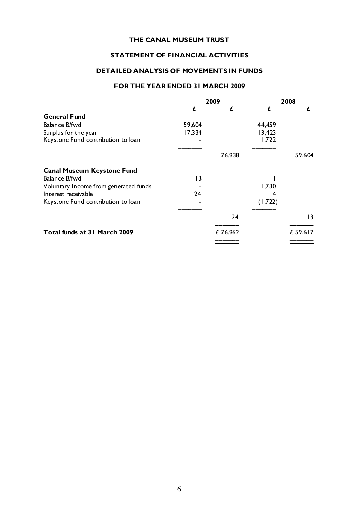#### STATEMENT OF FINANCIAL ACTIVITIES

#### DETAILED ANALYSIS OF MOVEMENTS IN FUNDS

#### FOR THE YEAR ENDED 31 MARCH 2009

|                                       |                | 2009    | 2008    |         |
|---------------------------------------|----------------|---------|---------|---------|
|                                       | £              | £       | £       | £       |
| <b>General Fund</b>                   |                |         |         |         |
| Balance B/fwd                         | 59,604         |         | 44,459  |         |
| Surplus for the year                  | 17,334         |         | 13,423  |         |
| Keystone Fund contribution to loan    |                |         | 1,722   |         |
|                                       |                |         |         |         |
|                                       |                | 76,938  |         | 59,604  |
| <b>Canal Museum Keystone Fund</b>     |                |         |         |         |
| Balance B/fwd                         | $\overline{1}$ |         |         |         |
| Voluntary Income from generated funds |                |         | 1,730   |         |
| Interest receivable                   | 24             |         |         |         |
| Keystone Fund contribution to loan    |                |         | (1,722) |         |
|                                       |                |         |         |         |
|                                       |                | 24      |         | 13      |
| Total funds at 31 March 2009          |                | £76,962 |         | £59,617 |
|                                       |                |         |         |         |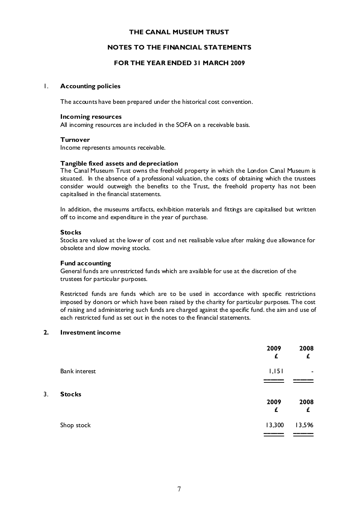#### NOTES TO THE FINANCIAL STATEMENTS

#### FOR THE YEAR ENDED 31 MARCH 2009

#### 1. Accounting policies

The accounts have been prepared under the historical cost convention.

#### Incoming resources

All incoming resources are included in the SOFA on a receivable basis.

#### Turnover

Income represents amounts receivable.

#### Tangible fixed assets and depreciation

The Canal Museum Trust owns the freehold property in which the London Canal Museum is situated. In the absence of a professional valuation, the costs of obtaining which the trustees consider would outweigh the benefits to the Trust, the freehold property has not been capitalised in the financial statements.

In addition, the museums artifacts, exhibition materials and fittings are capitalised but written off to income and expenditure in the year of purchase.

#### **Stocks**

Stocks are valued at the lower of cost and net realisable value after making due allowance for obsolete and slow moving stocks.

#### Fund accounting

General funds are unrestricted funds which are available for use at the discretion of the trustees for particular purposes.

Restricted funds are funds which are to be used in accordance with specific restrictions imposed by donors or which have been raised by the charity for particular purposes. The cost of raising and administering such funds are charged against the specific fund. the aim and use of each restricted fund as set out in the notes to the financial statements.

#### 2. Investment income

 $\overline{3}$ .

|    |                      | 2009<br>£ | 2008<br>£ |
|----|----------------------|-----------|-----------|
|    | <b>Bank</b> interest | 1,151     | ۰         |
| 3. | <b>Stocks</b>        | 2009<br>£ | 2008<br>£ |
|    | Shop stock           | 13,300    | 13,596    |
|    |                      |           |           |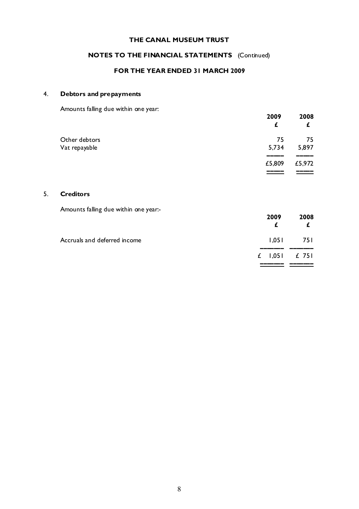### NOTES TO THE FINANCIAL STATEMENTS (Continued)

#### FOR THE YEAR ENDED 31 MARCH 2009

### 4. Debtors and prepayments

Amounts falling due within one year:

|               | 2009<br>£ | 2008<br>£ |
|---------------|-----------|-----------|
| Other debtors | 75        | 75        |
| Vat repayable | 5,734     | 5,897     |
|               |           |           |
|               | £5,809    | £5,972    |
|               |           |           |

#### 5. Creditors

Amounts falling due within one year:-

|                              | 2009<br>£       | 2008<br>£   |
|------------------------------|-----------------|-------------|
| Accruals and deferred income |                 | $1,051$ 751 |
|                              | £ $1,051$ £ 751 |             |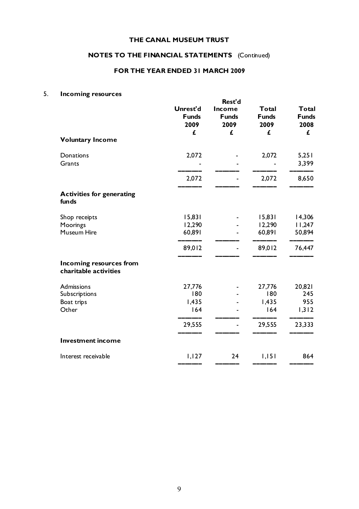### NOTES TO THE FINANCIAL STATEMENTS (Continued)

#### FOR THE YEAR ENDED 31 MARCH 2009

### 5. Incoming resources

| <b>Voluntary Income</b>                          | Unrest'd<br><b>Funds</b><br>2009<br>£ | Rest'd<br>Income<br><b>Funds</b><br>2009<br>£ | <b>Total</b><br><b>Funds</b><br>2009<br>£ | <b>Total</b><br><b>Funds</b><br>2008<br>£ |
|--------------------------------------------------|---------------------------------------|-----------------------------------------------|-------------------------------------------|-------------------------------------------|
| Donations<br>Grants                              | 2,072                                 |                                               | 2,072                                     | 5,251<br>3,399                            |
|                                                  | 2,072                                 |                                               | 2,072                                     | 8,650                                     |
| <b>Activities for generating</b><br>funds        |                                       |                                               |                                           |                                           |
| Shop receipts                                    | 15,831                                |                                               | 15,831                                    | 14,306                                    |
| Moorings<br>Museum Hire                          | 12,290<br>60,891                      |                                               | 12,290<br>60,891                          | 11,247<br>50,894                          |
|                                                  | 89,012                                |                                               | 89,012                                    | 76,447                                    |
| Incoming resources from<br>charitable activities |                                       |                                               |                                           |                                           |
| <b>Admissions</b>                                | 27,776                                |                                               | 27,776                                    | 20,821                                    |
| Subscriptions                                    | 180                                   |                                               | 180                                       | 245                                       |
| Boat trips<br>Other                              | 1,435<br>164                          |                                               | 1,435<br>164                              | 955<br>1,312                              |
|                                                  | 29,555                                |                                               | 29,555                                    | 23,333                                    |
| <b>Investment income</b>                         |                                       |                                               |                                           |                                           |
| Interest receivable                              | 1,127                                 | 24                                            | 1,151                                     | 864                                       |
|                                                  |                                       |                                               |                                           |                                           |